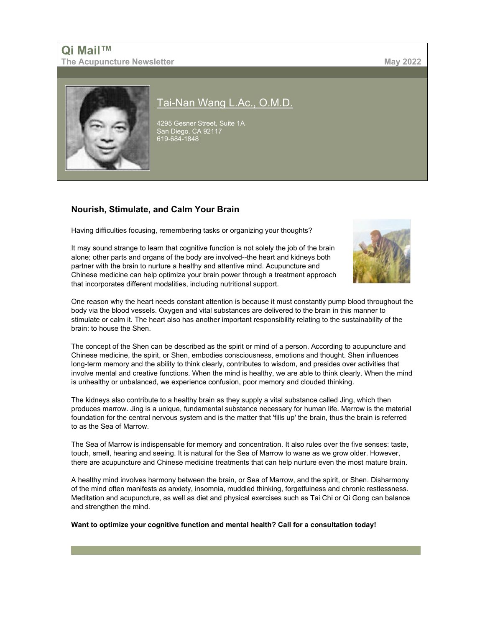# **Qi Mail™ The Acupuncture Newsletter May 2022**



# [Tai-Nan Wang L.Ac., O.M.D.](http://www.acufinder.com/Acupuncturist/86537)

4295 Gesner Street, Suite 1A San Diego, CA 92117 619-684-1848

# **Nourish, Stimulate, and Calm Your Brain**

Having difficulties focusing, remembering tasks or organizing your thoughts?

It may sound strange to learn that cognitive function is not solely the job of the brain alone; other parts and organs of the body are involved--the heart and kidneys both partner with the brain to nurture a healthy and attentive mind. Acupuncture and Chinese medicine can help optimize your brain power through a treatment approach that incorporates different modalities, including nutritional support.



One reason why the heart needs constant attention is because it must constantly pump blood throughout the body via the blood vessels. Oxygen and vital substances are delivered to the brain in this manner to stimulate or calm it. The heart also has another important responsibility relating to the sustainability of the brain: to house the Shen.

The concept of the Shen can be described as the spirit or mind of a person. According to acupuncture and Chinese medicine, the spirit, or Shen, embodies consciousness, emotions and thought. Shen influences long-term memory and the ability to think clearly, contributes to wisdom, and presides over activities that involve mental and creative functions. When the mind is healthy, we are able to think clearly. When the mind is unhealthy or unbalanced, we experience confusion, poor memory and clouded thinking.

The kidneys also contribute to a healthy brain as they supply a vital substance called Jing, which then produces marrow. Jing is a unique, fundamental substance necessary for human life. Marrow is the material foundation for the central nervous system and is the matter that 'fills up' the brain, thus the brain is referred to as the Sea of Marrow.

The Sea of Marrow is indispensable for memory and concentration. It also rules over the five senses: taste, touch, smell, hearing and seeing. It is natural for the Sea of Marrow to wane as we grow older. However, there are acupuncture and Chinese medicine treatments that can help nurture even the most mature brain.

A healthy mind involves harmony between the brain, or Sea of Marrow, and the spirit, or Shen. Disharmony of the mind often manifests as anxiety, insomnia, muddled thinking, forgetfulness and chronic restlessness. Meditation and acupuncture, as well as diet and physical exercises such as Tai Chi or Qi Gong can balance and strengthen the mind.

**Want to optimize your cognitive function and mental health? Call for a consultation today!**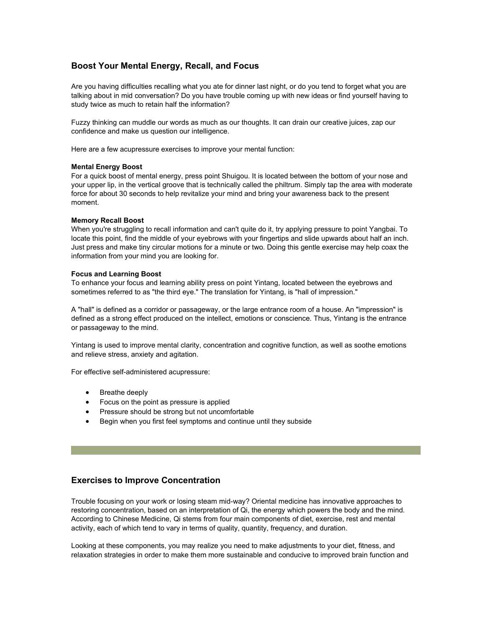## **Boost Your Mental Energy, Recall, and Focus**

Are you having difficulties recalling what you ate for dinner last night, or do you tend to forget what you are talking about in mid conversation? Do you have trouble coming up with new ideas or find yourself having to study twice as much to retain half the information?

Fuzzy thinking can muddle our words as much as our thoughts. It can drain our creative juices, zap our confidence and make us question our intelligence.

Here are a few acupressure exercises to improve your mental function:

### **Mental Energy Boost**

For a quick boost of mental energy, press point Shuigou. It is located between the bottom of your nose and your upper lip, in the vertical groove that is technically called the philtrum. Simply tap the area with moderate force for about 30 seconds to help revitalize your mind and bring your awareness back to the present moment.

### **Memory Recall Boost**

When you're struggling to recall information and can't quite do it, try applying pressure to point Yangbai. To locate this point, find the middle of your eyebrows with your fingertips and slide upwards about half an inch. Just press and make tiny circular motions for a minute or two. Doing this gentle exercise may help coax the information from your mind you are looking for.

### **Focus and Learning Boost**

To enhance your focus and learning ability press on point Yintang, located between the eyebrows and sometimes referred to as "the third eye." The translation for Yintang, is "hall of impression."

A "hall" is defined as a corridor or passageway, or the large entrance room of a house. An "impression" is defined as a strong effect produced on the intellect, emotions or conscience. Thus, Yintang is the entrance or passageway to the mind.

Yintang is used to improve mental clarity, concentration and cognitive function, as well as soothe emotions and relieve stress, anxiety and agitation.

For effective self-administered acupressure:

- Breathe deeply
- Focus on the point as pressure is applied
- Pressure should be strong but not uncomfortable
- Begin when you first feel symptoms and continue until they subside

### **Exercises to Improve Concentration**

Trouble focusing on your work or losing steam mid-way? Oriental medicine has innovative approaches to restoring concentration, based on an interpretation of Qi, the energy which powers the body and the mind. According to Chinese Medicine, Qi stems from four main components of diet, exercise, rest and mental activity, each of which tend to vary in terms of quality, quantity, frequency, and duration.

Looking at these components, you may realize you need to make adjustments to your diet, fitness, and relaxation strategies in order to make them more sustainable and conducive to improved brain function and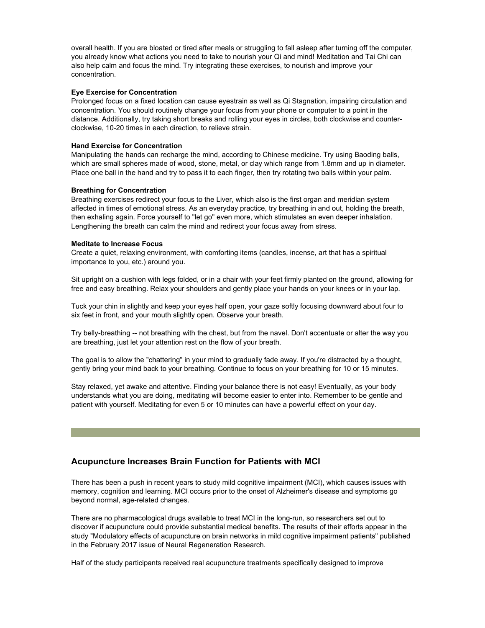overall health. If you are bloated or tired after meals or struggling to fall asleep after turning off the computer, you already know what actions you need to take to nourish your Qi and mind! Meditation and Tai Chi can also help calm and focus the mind. Try integrating these exercises, to nourish and improve your concentration.

#### **Eye Exercise for Concentration**

Prolonged focus on a fixed location can cause eyestrain as well as Qi Stagnation, impairing circulation and concentration. You should routinely change your focus from your phone or computer to a point in the distance. Additionally, try taking short breaks and rolling your eyes in circles, both clockwise and counterclockwise, 10-20 times in each direction, to relieve strain.

### **Hand Exercise for Concentration**

Manipulating the hands can recharge the mind, according to Chinese medicine. Try using Baoding balls, which are small spheres made of wood, stone, metal, or clay which range from 1.8mm and up in diameter. Place one ball in the hand and try to pass it to each finger, then try rotating two balls within your palm.

### **Breathing for Concentration**

Breathing exercises redirect your focus to the Liver, which also is the first organ and meridian system affected in times of emotional stress. As an everyday practice, try breathing in and out, holding the breath, then exhaling again. Force yourself to "let go" even more, which stimulates an even deeper inhalation. Lengthening the breath can calm the mind and redirect your focus away from stress.

### **Meditate to Increase Focus**

Create a quiet, relaxing environment, with comforting items (candles, incense, art that has a spiritual importance to you, etc.) around you.

Sit upright on a cushion with legs folded, or in a chair with your feet firmly planted on the ground, allowing for free and easy breathing. Relax your shoulders and gently place your hands on your knees or in your lap.

Tuck your chin in slightly and keep your eyes half open, your gaze softly focusing downward about four to six feet in front, and your mouth slightly open. Observe your breath.

Try belly-breathing -- not breathing with the chest, but from the navel. Don't accentuate or alter the way you are breathing, just let your attention rest on the flow of your breath.

The goal is to allow the "chattering" in your mind to gradually fade away. If you're distracted by a thought, gently bring your mind back to your breathing. Continue to focus on your breathing for 10 or 15 minutes.

Stay relaxed, yet awake and attentive. Finding your balance there is not easy! Eventually, as your body understands what you are doing, meditating will become easier to enter into. Remember to be gentle and patient with yourself. Meditating for even 5 or 10 minutes can have a powerful effect on your day.

### **Acupuncture Increases Brain Function for Patients with MCI**

There has been a push in recent years to study mild cognitive impairment (MCI), which causes issues with memory, cognition and learning. MCI occurs prior to the onset of Alzheimer's disease and symptoms go beyond normal, age-related changes.

There are no pharmacological drugs available to treat MCI in the long-run, so researchers set out to discover if acupuncture could provide substantial medical benefits. The results of their efforts appear in the study "Modulatory effects of acupuncture on brain networks in mild cognitive impairment patients" published in the February 2017 issue of Neural Regeneration Research.

Half of the study participants received real acupuncture treatments specifically designed to improve